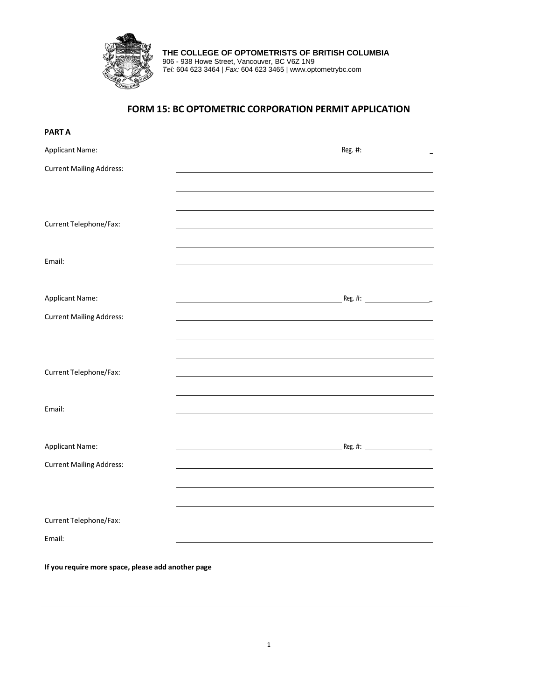

**THE COLLEGE OF OPTOMETRISTS OF BRITISH COLUMBIA** 906 - 938 Howe Street, Vancouver, BC V6Z 1N9 *Tel:* 604 623 3464 | *Fax:* 604 623 3465 | www.optometrybc.com

# **FORM 15: BC OPTOMETRIC CORPORATION PERMIT APPLICATION**

| <b>PARTA</b>                                       |  |
|----------------------------------------------------|--|
| Applicant Name:                                    |  |
| <b>Current Mailing Address:</b>                    |  |
|                                                    |  |
|                                                    |  |
| Current Telephone/Fax:                             |  |
|                                                    |  |
| Email:                                             |  |
|                                                    |  |
| <b>Applicant Name:</b>                             |  |
| <b>Current Mailing Address:</b>                    |  |
|                                                    |  |
|                                                    |  |
| Current Telephone/Fax:                             |  |
|                                                    |  |
| Email:                                             |  |
|                                                    |  |
| Applicant Name:                                    |  |
| <b>Current Mailing Address:</b>                    |  |
|                                                    |  |
|                                                    |  |
| Current Telephone/Fax:                             |  |
| Email:                                             |  |
|                                                    |  |
| If you require more space, please add another page |  |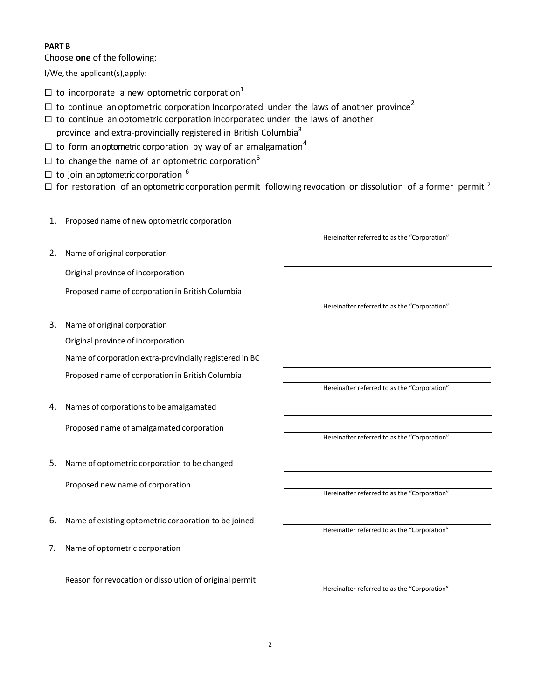# **PART B**

Choose **one** of the following:

I/We,the applicant(s),apply:

- $\Box$  to incorporate a new optometric corporation<sup>1</sup>
- $\Box$  to continue an optometric corporation Incorporated under the laws of another province<sup>2</sup>
- $\Box$  to continue an optometric corporation incorporated under the laws of another province and extra-provincially registered in British Columbia<sup>3</sup>
- $\Box$  to form anoptometric corporation by way of an amalgamation<sup>4</sup>
- $\Box$  to change the name of an optometric corporation<sup>5</sup>
- $\Box$  to join anoptometric corporation  $^6$
- $\Box$  for restoration of an optometric corporation permit following revocation or dissolution of a former permit <sup>7</sup>
- 1. Proposed name of new optometric corporation 2. Name of original corporation Original province of incorporation Proposed name of corporation in British Columbia Hereinafter referred to as the "Corporation" Hereinafter referred to as the "Corporation" 3. Name of original corporation Original province of incorporation Name of corporation extra-provincially registered in BC Proposed name of corporation in British Columbia Hereinafter referred to as the "Corporation" 4. Names of corporations to be amalgamated Proposed name of amalgamated corporation Hereinafter referred to as the "Corporation" 5. Name of optometric corporation to be changed Proposed new name of corporation Hereinafter referred to as the "Corporation" 6. Name of existing optometric corporation to be joined Hereinafter referred to as the "Corporation"
- 7. Name of optometric corporation

Reason for revocation or dissolution of original permit

Hereinafter referred to as the "Corporation"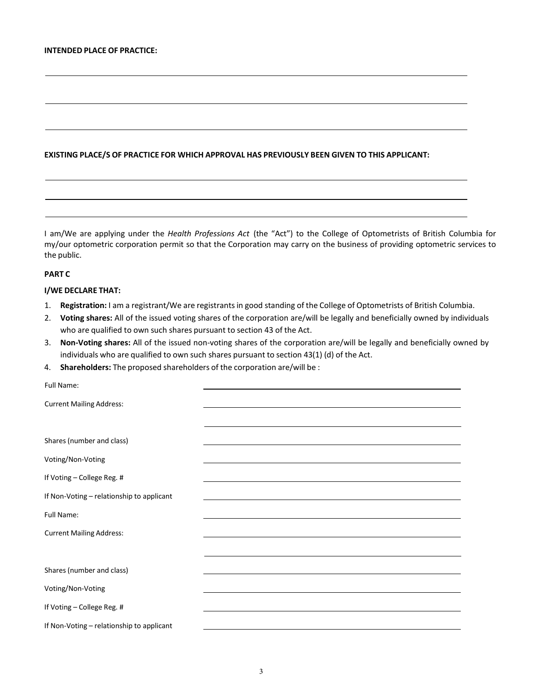## **EXISTING PLACE/S OF PRACTICE FOR WHICH APPROVAL HAS PREVIOUSLY BEEN GIVEN TO THIS APPLICANT:**

I am/We are applying under the *Health Professions Act* (the "Act") to the College of Optometrists of British Columbia for my/our optometric corporation permit so that the Corporation may carry on the business of providing optometric services to the public.

## **PART C**

## **I/WE DECLARE THAT:**

- 1. **Registration:** I am a registrant/We are registrantsin good standing of the College of Optometrists of British Columbia.
- 2. **Voting shares:** All of the issued voting shares of the corporation are/will be legally and beneficially owned by individuals who are qualified to own such shares pursuant to section 43 of the Act.
- 3. **Non-Voting shares:** All of the issued non-voting shares of the corporation are/will be legally and beneficially owned by individuals who are qualified to own such shares pursuant to section 43(1) (d) of the Act.
- 4. **Shareholders:** The proposed shareholders of the corporation are/will be :

| Full Name:                                |                                                                                                                                                                                                                               |
|-------------------------------------------|-------------------------------------------------------------------------------------------------------------------------------------------------------------------------------------------------------------------------------|
| <b>Current Mailing Address:</b>           | the control of the control of the control of the control of the control of the control of the control of the control of the control of the control of the control of the control of the control of the control of the control |
|                                           |                                                                                                                                                                                                                               |
| Shares (number and class)                 |                                                                                                                                                                                                                               |
| Voting/Non-Voting                         |                                                                                                                                                                                                                               |
| If Voting - College Reg. #                | <u> 1980 - Andrea Stadt Britain, amerikansk politik (* 1950)</u>                                                                                                                                                              |
| If Non-Voting - relationship to applicant |                                                                                                                                                                                                                               |
| <b>Full Name:</b>                         |                                                                                                                                                                                                                               |
| <b>Current Mailing Address:</b>           |                                                                                                                                                                                                                               |
|                                           |                                                                                                                                                                                                                               |
| Shares (number and class)                 |                                                                                                                                                                                                                               |
| Voting/Non-Voting                         |                                                                                                                                                                                                                               |
| If Voting - College Reg. #                | <u> 1989 - Johann Stoff, amerikansk politiker (* 1908)</u>                                                                                                                                                                    |
| If Non-Voting - relationship to applicant |                                                                                                                                                                                                                               |
|                                           |                                                                                                                                                                                                                               |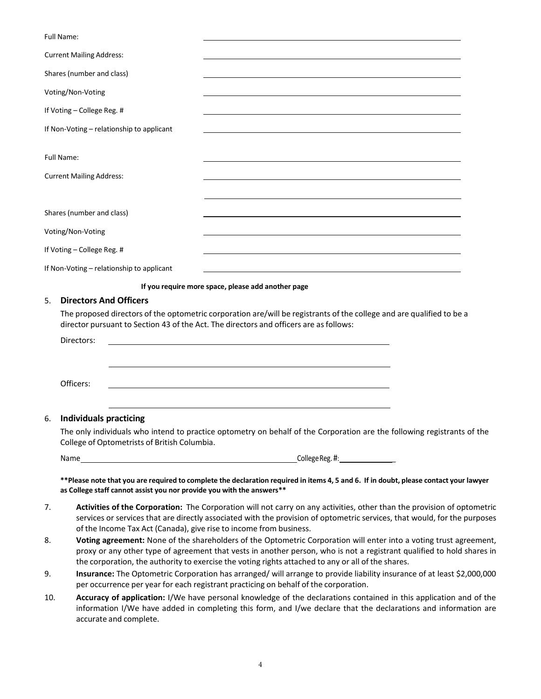Full Name: Current Mailing Address: Shares (number and class) Voting/Non-Voting If Voting – College Reg. # If Non-Voting – relationship to applicant Full Name: Current Mailing Address: Shares (number and class) Voting/Non-Voting If Voting – College Reg. # If Non-Voting – relationship to applicant **If you require more space, please add another page** 5. **Directors And Officers** The proposed directors of the optometric corporation are/will be registrants of the college and are qualified to be a director pursuant to Section 43 of the Act. The directors and officers are asfollows: Directors: Officers: 6. **Individuals practicing** The only individuals who intend to practice optometry on behalf of the Corporation are the following registrants of the College of Optometrists of British Columbia.

| Name<br>__ |
|------------|
|------------|

College Reg. #:

\*\* Please note that you are required to complete the declaration required in items 4, 5 and 6. If in doubt, please contact your lawyer **as College staff cannot assist you nor provide you with the answers\*\***

- 7. **Activities of the Corporation:** The Corporation will not carry on any activities, other than the provision of optometric services or services that are directly associated with the provision of optometric services, that would, for the purposes of the Income Tax Act (Canada), give rise to income from business.
- 8. **Voting agreement:** None of the shareholders of the Optometric Corporation will enter into a voting trust agreement, proxy or any other type of agreement that vests in another person, who is not a registrant qualified to hold shares in the corporation, the authority to exercise the voting rights attached to any or all of the shares.
- 9. **Insurance:** The Optometric Corporation has arranged/ will arrange to provide liability insurance of at least \$2,000,000 per occurrence per year for each registrant practicing on behalf of the corporation.
- 10. **Accuracy of application:** I/We have personal knowledge of the declarations contained in this application and of the information I/We have added in completing this form, and I/we declare that the declarations and information are accurate and complete.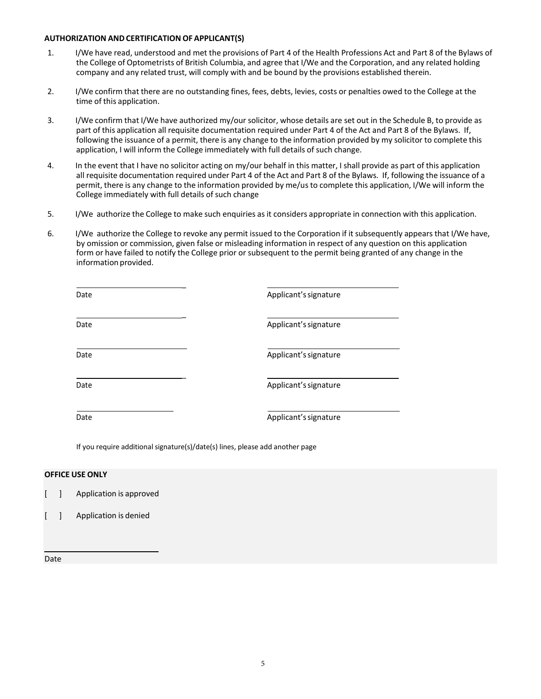#### **AUTHORIZATION ANDCERTIFICATION OF APPLICANT(S)**

- 1. I/We have read, understood and met the provisions of Part 4 of the Health Professions Act and Part 8 of the Bylaws of the College of Optometrists of British Columbia, and agree that I/We and the Corporation, and any related holding company and any related trust, will comply with and be bound by the provisions established therein.
- 2. I/We confirm that there are no outstanding fines, fees, debts, levies, costs or penalties owed to the College at the time of this application.
- 3. I/We confirm that I/We have authorized my/our solicitor, whose details are set out in the Schedule B, to provide as part of this application all requisite documentation required under Part 4 of the Act and Part 8 of the Bylaws. If, following the issuance of a permit, there is any change to the information provided by my solicitor to complete this application, I will inform the College immediately with full details of such change.
- 4. In the event that I have no solicitor acting on my/our behalf in this matter, I shall provide as part of this application all requisite documentation required under Part 4 of the Act and Part 8 of the Bylaws. If, following the issuance of a permit, there is any change to the information provided by me/usto complete this application, I/We will inform the College immediately with full details of such change
- 5. I/We authorize the College to make such enquiries asit considers appropriate in connection with this application.
- 6. I/We authorize the College to revoke any permit issued to the Corporation if it subsequently appears that I/We have, by omission or commission, given false or misleading information in respect of any question on this application form or have failed to notify the College prior or subsequent to the permit being granted of any change in the information provided.

| Date | Applicant's signature |
|------|-----------------------|
| Date | Applicant's signature |
| Date | Applicant's signature |
| Date | Applicant's signature |
| Date | Applicant's signature |

If you require additional signature(s)/date(s) lines, please add another page

# **OFFICE USE ONLY**

- [ ] Application is approved
- [ ] Application is denied

#### Date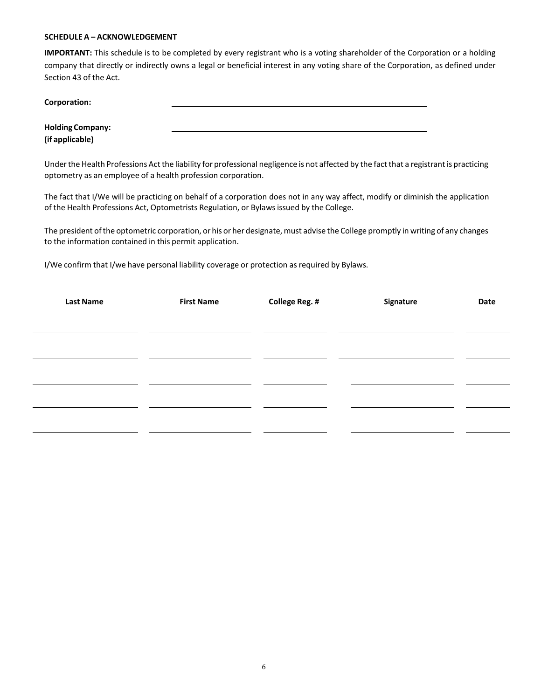#### **SCHEDULE A – ACKNOWLEDGEMENT**

**IMPORTANT:** This schedule is to be completed by every registrant who is a voting shareholder of the Corporation or a holding company that directly or indirectly owns a legal or beneficial interest in any voting share of the Corporation, as defined under Section 43 of the Act.

| Corporation:            |  |  |
|-------------------------|--|--|
|                         |  |  |
| <b>Holding Company:</b> |  |  |
| (if applicable)         |  |  |

Under the Health Professions Act the liability for professional negligence is not affected by the fact that a registrant is practicing optometry as an employee of a health profession corporation.

The fact that I/We will be practicing on behalf of a corporation does not in any way affect, modify or diminish the application of the Health Professions Act, Optometrists Regulation, or Bylawsissued by the College.

The president of the optometric corporation, or his or her designate, must advise the College promptly in writing of any changes to the information contained in this permit application.

I/We confirm that I/we have personal liability coverage or protection as required by Bylaws.

| <b>Last Name</b> | <b>First Name</b> | <b>College Reg. #</b> | Signature | Date |
|------------------|-------------------|-----------------------|-----------|------|
|                  |                   |                       |           |      |
|                  |                   |                       |           |      |
|                  |                   |                       |           |      |
|                  |                   |                       |           |      |
|                  |                   |                       |           |      |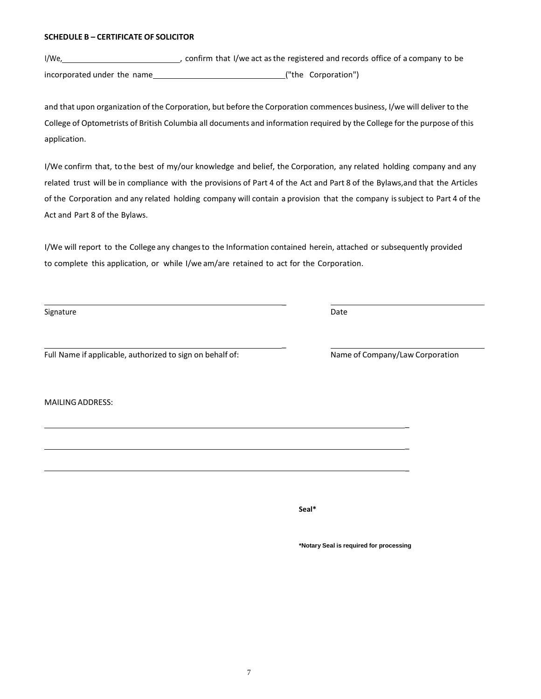#### **SCHEDULE B – CERTIFICATE OF SOLICITOR**

I/We, 1/We, 1/We act as the registered and records office of a company to be incorporated under the name ("the Corporation")

and that upon organization of the Corporation, but before the Corporation commences business, I/we will deliver to the College of Optometrists of British Columbia all documents and information required by the College for the purpose of this application.

I/We confirm that, to the best of my/our knowledge and belief, the Corporation, any related holding company and any related trust will be in compliance with the provisions of Part 4 of the Act and Part 8 of the Bylaws,and that the Articles of the Corporation and any related holding company will contain a provision that the company issubject to Part 4 of the Act and Part 8 of the Bylaws.

I/We will report to the College any changesto the Information contained herein, attached or subsequently provided to complete this application, or while I/we am/are retained to act for the Corporation.

 $\overline{a}$ 

 $\overline{a}$ 

Signature Date **Date** 

Full Name if applicable, authorized to sign on behalf of: Name of Company/Law Corporation

MAILINGADDRESS:

 $\overline{a}$ 

 $\overline{a}$ 

 $\overline{\phantom{0}}$ 

**Seal\***

**\*Notary Seal is required for processing**